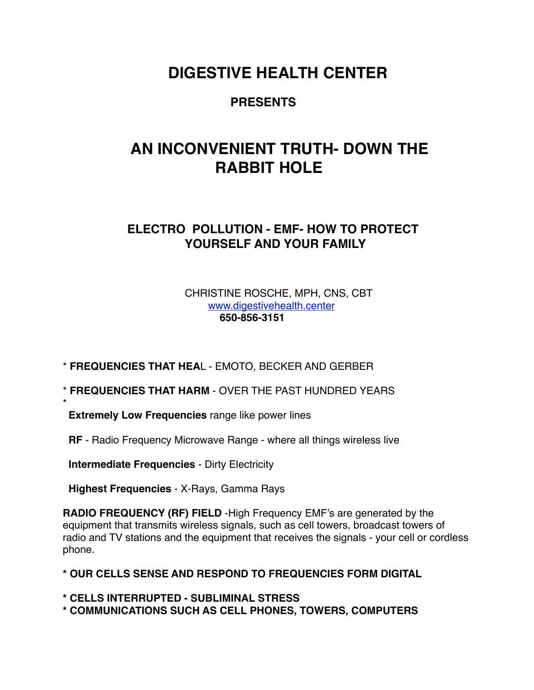### **DIGESTIVE HEALTH CENTER**

### **PRESENTS**

# **AN INCONVENIENT TRUTH- DOWN THE RABBIT HOLE**

### **ELECTRO POLLUTION - EMF- HOW TO PROTECT YOURSELF AND YOUR FAMILY**

#### CHRISTINE ROSCHE, MPH, CNS, CBT [www.digestivehealth.center](http://www.digestivehealth.center) **650-856-3151**

\* **FREQUENCIES THAT HEA**L - EMOTO, BECKER AND GERBER

- \* **FREQUENCIES THAT HARM** OVER THE PAST HUNDRED YEARS
- **Extremely Low Frequencies** range like power lines
- **RF**  Radio Frequency Microwave Range where all things wireless live

 **Intermediate Frequencies** - Dirty Electricity

\*

 **Highest Frequencies** - X-Rays, Gamma Rays

**RADIO FREQUENCY (RF) FIELD** -High Frequency EMF's are generated by the equipment that transmits wireless signals, such as cell towers, broadcast towers of radio and TV stations and the equipment that receives the signals - your cell or cordless phone.

- **\* OUR CELLS SENSE AND RESPOND TO FREQUENCIES FORM DIGITAL**
- **\* CELLS INTERRUPTED SUBLIMINAL STRESS \* COMMUNICATIONS SUCH AS CELL PHONES, TOWERS, COMPUTERS**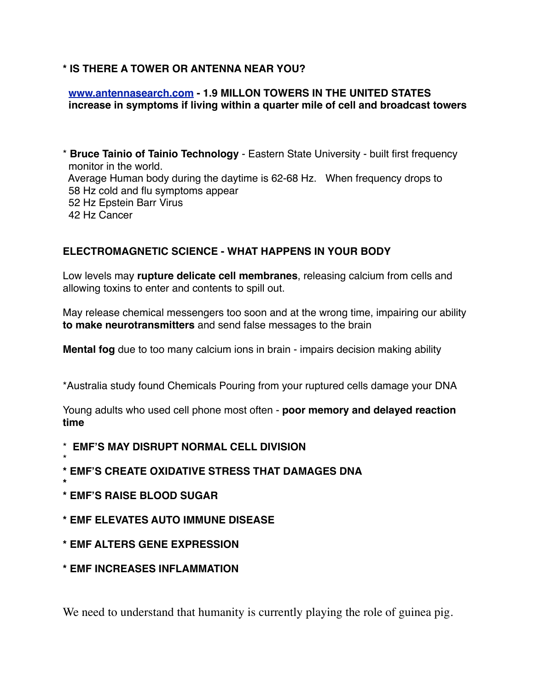#### **\* IS THERE A TOWER OR ANTENNA NEAR YOU?**

#### **[www.antennasearch.com](http://www.antennasearch.com) - 1.9 MILLON TOWERS IN THE UNITED STATES increase in symptoms if living within a quarter mile of cell and broadcast towers**

\* **Bruce Tainio of Tainio Technology** - Eastern State University - built first frequency monitor in the world. Average Human body during the daytime is 62-68 Hz. When frequency drops to 58 Hz cold and flu symptoms appear 52 Hz Epstein Barr Virus 42 Hz Cancer

#### **ELECTROMAGNETIC SCIENCE - WHAT HAPPENS IN YOUR BODY**

Low levels may **rupture delicate cell membranes**, releasing calcium from cells and allowing toxins to enter and contents to spill out.

May release chemical messengers too soon and at the wrong time, impairing our ability **to make neurotransmitters** and send false messages to the brain

**Mental fog** due to too many calcium ions in brain - impairs decision making ability

\*Australia study found Chemicals Pouring from your ruptured cells damage your DNA

Young adults who used cell phone most often - **poor memory and delayed reaction time**

- \* **EMF'S MAY DISRUPT NORMAL CELL DIVISION**
- \* **\* EMF'S CREATE OXIDATIVE STRESS THAT DAMAGES DNA**
- **\* \* EMF'S RAISE BLOOD SUGAR**
- **\* EMF ELEVATES AUTO IMMUNE DISEASE**
- **\* EMF ALTERS GENE EXPRESSION**
- **\* EMF INCREASES INFLAMMATION**

We need to understand that humanity is currently playing the role of guinea pig.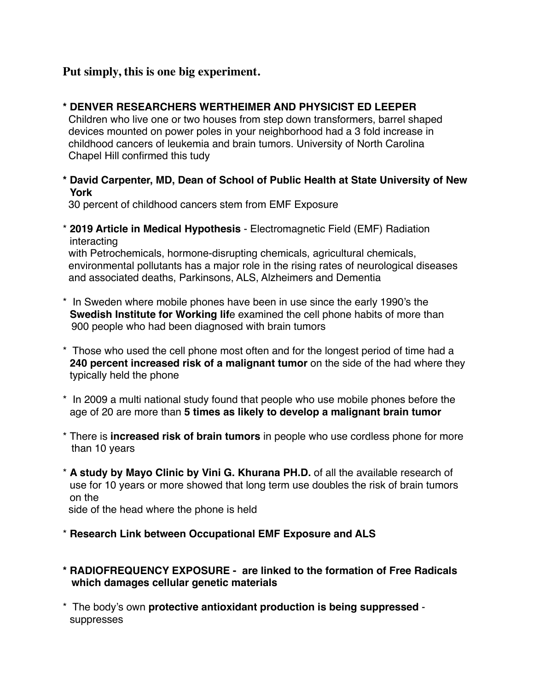#### **Put simply, this is one big experiment.**

**\* DENVER RESEARCHERS WERTHEIMER AND PHYSICIST ED LEEPER**

 Children who live one or two houses from step down transformers, barrel shaped devices mounted on power poles in your neighborhood had a 3 fold increase in childhood cancers of leukemia and brain tumors. University of North Carolina Chapel Hill confirmed this tudy

**\* David Carpenter, MD, Dean of School of Public Health at State University of New York**

30 percent of childhood cancers stem from EMF Exposure

\* **2019 Article in Medical Hypothesis** - Electromagnetic Field (EMF) Radiation interacting

 with Petrochemicals, hormone-disrupting chemicals, agricultural chemicals, environmental pollutants has a major role in the rising rates of neurological diseases and associated deaths, Parkinsons, ALS, Alzheimers and Dementia

- \* In Sweden where mobile phones have been in use since the early 1990's the **Swedish Institute for Working lif**e examined the cell phone habits of more than 900 people who had been diagnosed with brain tumors
- \* Those who used the cell phone most often and for the longest period of time had a **240 percent increased risk of a malignant tumor** on the side of the had where they typically held the phone
- \* In 2009 a multi national study found that people who use mobile phones before the age of 20 are more than **5 times as likely to develop a malignant brain tumor**
- \* There is **increased risk of brain tumors** in people who use cordless phone for more than 10 years
- \* **A study by Mayo Clinic by Vini G. Khurana PH.D.** of all the available research of use for 10 years or more showed that long term use doubles the risk of brain tumors on the

side of the head where the phone is held

- \* **Research Link between Occupational EMF Exposure and ALS**
- **\* RADIOFREQUENCY EXPOSURE are linked to the formation of Free Radicals which damages cellular genetic materials**
- \* The body's own **protective antioxidant production is being suppressed** suppresses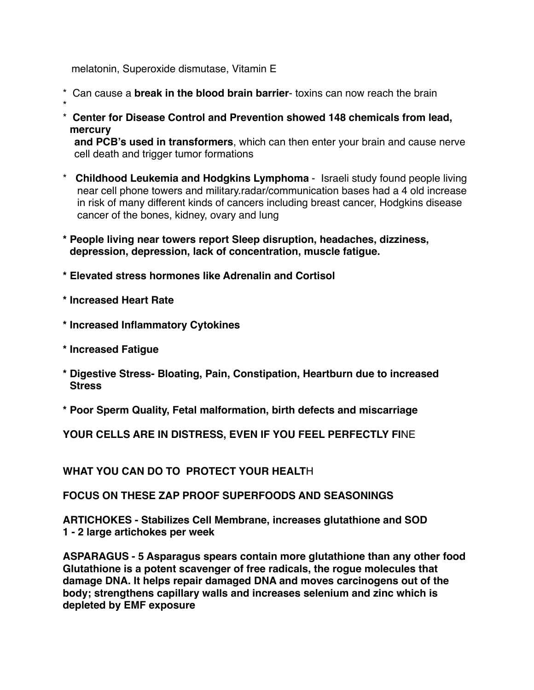melatonin, Superoxide dismutase, Vitamin E

- \* Can cause a **break in the blood brain barrier** toxins can now reach the brain
- \*
- \* **Center for Disease Control and Prevention showed 148 chemicals from lead, mercury**

 **and PCB's used in transformers**, which can then enter your brain and cause nerve cell death and trigger tumor formations

- \* **Childhood Leukemia and Hodgkins Lymphoma** Israeli study found people living near cell phone towers and military.radar/communication bases had a 4 old increase in risk of many different kinds of cancers including breast cancer, Hodgkins disease cancer of the bones, kidney, ovary and lung
- **\* People living near towers report Sleep disruption, headaches, dizziness, depression, depression, lack of concentration, muscle fatigue.**
- **\* Elevated stress hormones like Adrenalin and Cortisol**
- **\* Increased Heart Rate**
- **\* Increased Inflammatory Cytokines**
- **\* Increased Fatigue**
- **\* Digestive Stress- Bloating, Pain, Constipation, Heartburn due to increased Stress**
- **\* Poor Sperm Quality, Fetal malformation, birth defects and miscarriage**

**YOUR CELLS ARE IN DISTRESS, EVEN IF YOU FEEL PERFECTLY FI**NE

**WHAT YOU CAN DO TO PROTECT YOUR HEALT**H

**FOCUS ON THESE ZAP PROOF SUPERFOODS AND SEASONINGS**

**ARTICHOKES - Stabilizes Cell Membrane, increases glutathione and SOD 1 - 2 large artichokes per week**

**ASPARAGUS - 5 Asparagus spears contain more glutathione than any other food Glutathione is a potent scavenger of free radicals, the rogue molecules that damage DNA. It helps repair damaged DNA and moves carcinogens out of the body; strengthens capillary walls and increases selenium and zinc which is depleted by EMF exposure**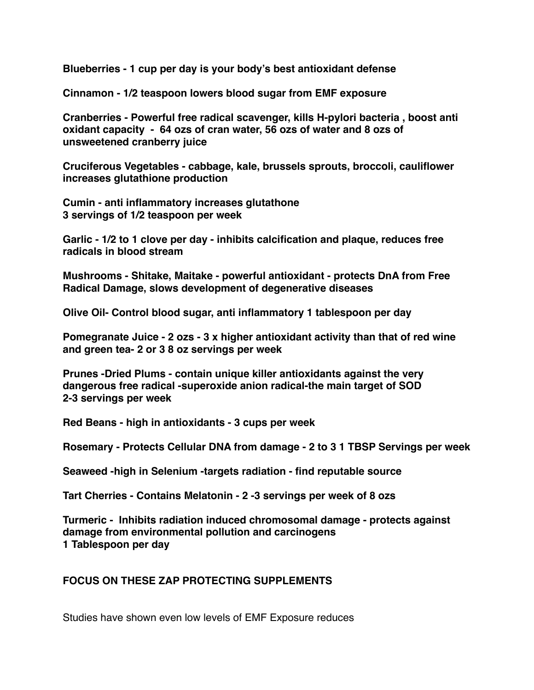**Blueberries - 1 cup per day is your body's best antioxidant defense**

**Cinnamon - 1/2 teaspoon lowers blood sugar from EMF exposure**

**Cranberries - Powerful free radical scavenger, kills H-pylori bacteria , boost anti oxidant capacity - 64 ozs of cran water, 56 ozs of water and 8 ozs of unsweetened cranberry juice** 

**Cruciferous Vegetables - cabbage, kale, brussels sprouts, broccoli, cauliflower increases glutathione production**

**Cumin - anti inflammatory increases glutathone 3 servings of 1/2 teaspoon per week**

**Garlic - 1/2 to 1 clove per day - inhibits calcification and plaque, reduces free radicals in blood stream**

**Mushrooms - Shitake, Maitake - powerful antioxidant - protects DnA from Free Radical Damage, slows development of degenerative diseases**

**Olive Oil- Control blood sugar, anti inflammatory 1 tablespoon per day**

**Pomegranate Juice - 2 ozs - 3 x higher antioxidant activity than that of red wine and green tea- 2 or 3 8 oz servings per week**

**Prunes -Dried Plums - contain unique killer antioxidants against the very dangerous free radical -superoxide anion radical-the main target of SOD 2-3 servings per week**

**Red Beans - high in antioxidants - 3 cups per week**

**Rosemary - Protects Cellular DNA from damage - 2 to 3 1 TBSP Servings per week**

**Seaweed -high in Selenium -targets radiation - find reputable source**

**Tart Cherries - Contains Melatonin - 2 -3 servings per week of 8 ozs**

**Turmeric - Inhibits radiation induced chromosomal damage - protects against damage from environmental pollution and carcinogens 1 Tablespoon per day**

#### **FOCUS ON THESE ZAP PROTECTING SUPPLEMENTS**

Studies have shown even low levels of EMF Exposure reduces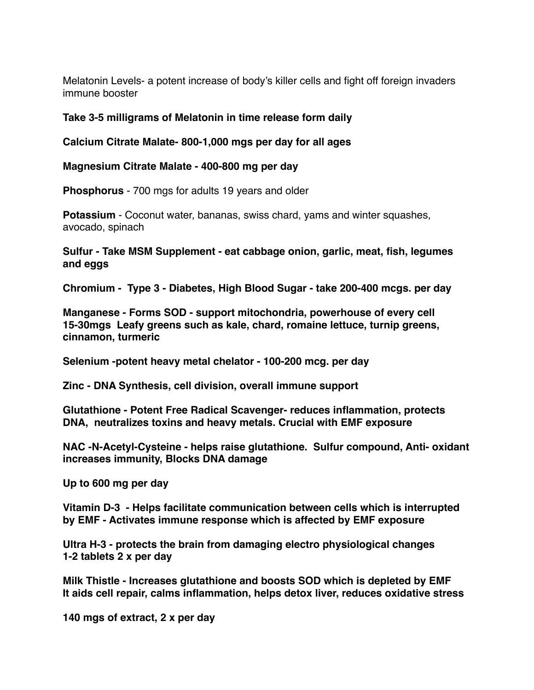Melatonin Levels- a potent increase of body's killer cells and fight off foreign invaders immune booster

#### **Take 3-5 milligrams of Melatonin in time release form daily**

**Calcium Citrate Malate- 800-1,000 mgs per day for all ages**

**Magnesium Citrate Malate - 400-800 mg per day** 

**Phosphorus** - 700 mgs for adults 19 years and older

**Potassium** - Coconut water, bananas, swiss chard, yams and winter squashes, avocado, spinach

**Sulfur - Take MSM Supplement - eat cabbage onion, garlic, meat, fish, legumes and eggs**

**Chromium - Type 3 - Diabetes, High Blood Sugar - take 200-400 mcgs. per day**

**Manganese - Forms SOD - support mitochondria, powerhouse of every cell 15-30mgs Leafy greens such as kale, chard, romaine lettuce, turnip greens, cinnamon, turmeric**

**Selenium -potent heavy metal chelator - 100-200 mcg. per day**

**Zinc - DNA Synthesis, cell division, overall immune support**

**Glutathione - Potent Free Radical Scavenger- reduces inflammation, protects DNA, neutralizes toxins and heavy metals. Crucial with EMF exposure**

**NAC -N-Acetyl-Cysteine - helps raise glutathione. Sulfur compound, Anti- oxidant increases immunity, Blocks DNA damage**

**Up to 600 mg per day**

**Vitamin D-3 - Helps facilitate communication between cells which is interrupted by EMF - Activates immune response which is affected by EMF exposure**

**Ultra H-3 - protects the brain from damaging electro physiological changes 1-2 tablets 2 x per day**

**Milk Thistle - Increases glutathione and boosts SOD which is depleted by EMF It aids cell repair, calms inflammation, helps detox liver, reduces oxidative stress**

**140 mgs of extract, 2 x per day**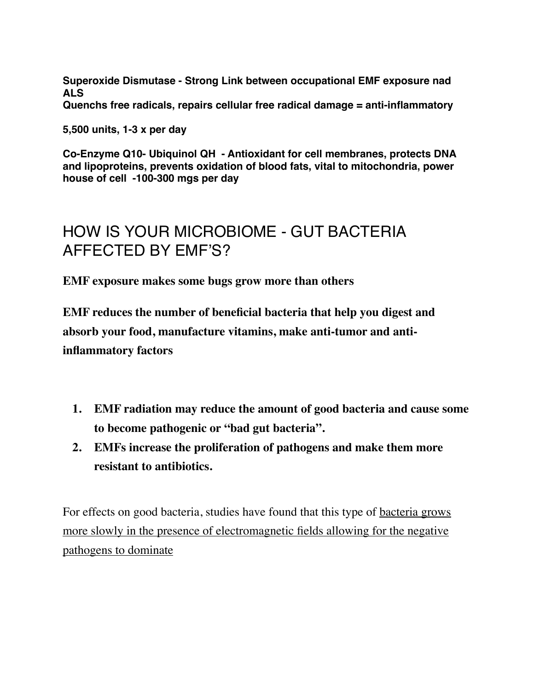**Superoxide Dismutase - Strong Link between occupational EMF exposure nad ALS**

**Quenchs free radicals, repairs cellular free radical damage = anti-inflammatory**

**5,500 units, 1-3 x per day**

**Co-Enzyme Q10- Ubiquinol QH - Antioxidant for cell membranes, protects DNA and lipoproteins, prevents oxidation of blood fats, vital to mitochondria, power house of cell -100-300 mgs per day**

## HOW IS YOUR MICROBIOME - GUT BACTERIA AFFECTED BY EMF'S?

**EMF exposure makes some bugs grow more than others**

**EMF reduces the number of beneficial bacteria that help you digest and absorb your food, manufacture vitamins, make anti-tumor and antiinflammatory factors**

- **1. EMF radiation may reduce the amount of good bacteria and cause some to become pathogenic or "bad gut bacteria".**
- **2. EMFs increase the proliferation of pathogens and make them more resistant to antibiotics.**

For effects on good bacteria, studies have found that this type of bacteria grows more slowly in the presence of electromagnetic fields allowing for the negative pathogens to dominate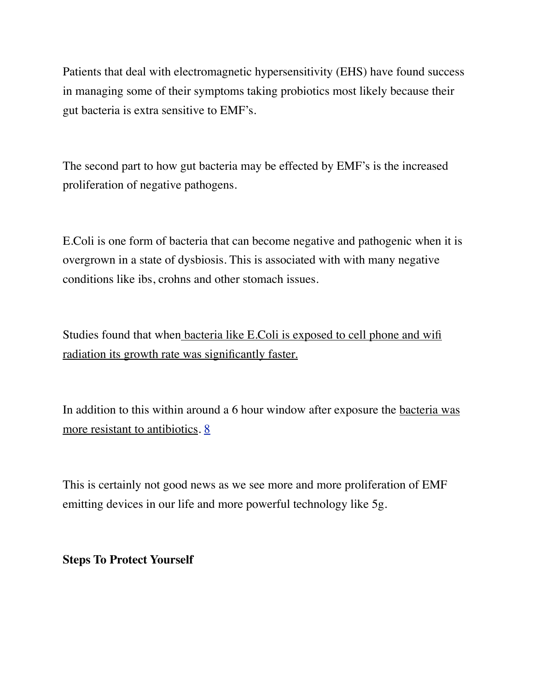Patients that deal with electromagnetic hypersensitivity (EHS) have found success in managing some of their symptoms taking probiotics most likely because their gut bacteria is extra sensitive to EMF's.

The second part to how gut bacteria may be effected by EMF's is the increased proliferation of negative pathogens.

E.Coli is one form of bacteria that can become negative and pathogenic when it is overgrown in a state of dysbiosis. This is associated with with many negative conditions like ibs, crohns and other stomach issues.

Studies found that when bacteria like E.Coli is exposed to cell phone and wifi radiation its growth rate was significantly faster.

In addition to this within around a 6 hour window after exposure the bacteria was more resistant to antibiotics. [8](https://journals.sagepub.com/doi/full/10.1177/1559325816688527)

This is certainly not good news as we see more and more proliferation of EMF emitting devices in our life and more powerful technology like 5g.

**Steps To Protect Yourself**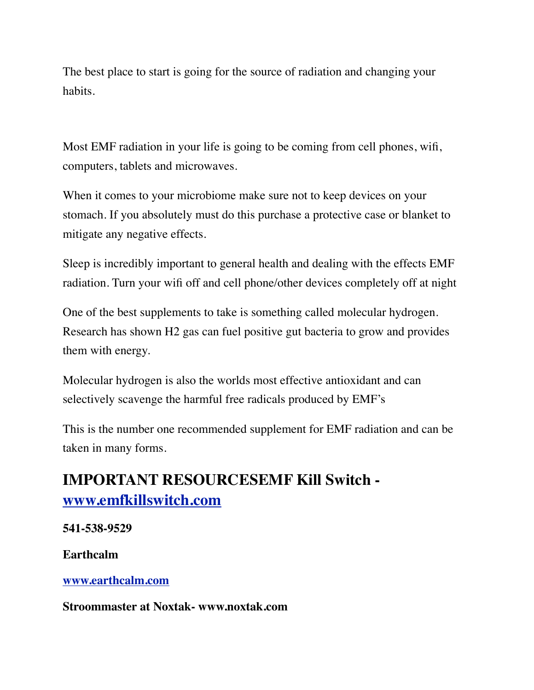The best place to start is going for the source of radiation and changing your habits.

Most EMF radiation in your life is going to be coming from cell phones, wifi, computers, tablets and microwaves.

When it comes to your microbiome make sure not to keep devices on your stomach. If you absolutely must do this purchase a protective case or blanket to mitigate any negative effects.

Sleep is incredibly important to general health and dealing with the effects EMF radiation. Turn your wifi off and cell phone/other devices completely off at night

One of the best supplements to take is something called molecular hydrogen. Research has shown H2 gas can fuel positive gut bacteria to grow and provides them with energy.

Molecular hydrogen is also the worlds most effective antioxidant and can selectively scavenge the harmful free radicals produced by EMF's

This is the number one recommended supplement for EMF radiation and can be taken in many forms.

## **IMPORTANT RESOURCESEMF Kill Switch [www.emfkillswitch.com](http://www.emfkillswitch.com)**

**541-538-9529**

**Earthcalm**

**[www.earthcalm.com](http://www.earthcalm.com)**

**Stroommaster at Noxtak- www.noxtak.com**